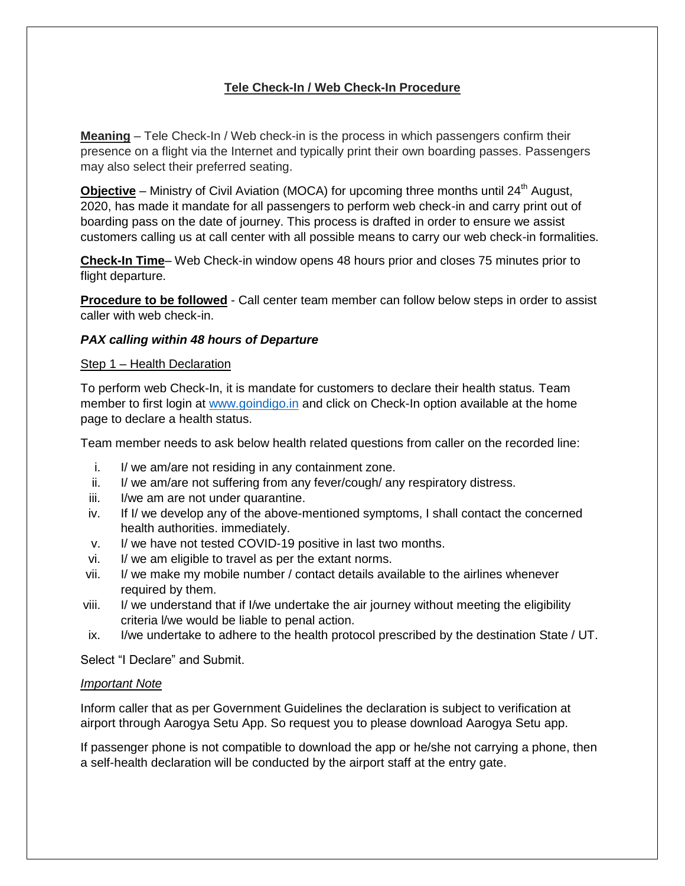# **Tele Check-In / Web Check-In Procedure**

**Meaning** – Tele Check-In / Web check-in is the process in which passengers confirm their presence on a flight via the Internet and typically print their own boarding passes. Passengers may also select their preferred seating.

**Objective** – Ministry of Civil Aviation (MOCA) for upcoming three months until 24<sup>th</sup> August, 2020, has made it mandate for all passengers to perform web check-in and carry print out of boarding pass on the date of journey. This process is drafted in order to ensure we assist customers calling us at call center with all possible means to carry our web check-in formalities.

**Check-In Time**– Web Check-in window opens 48 hours prior and closes 75 minutes prior to flight departure.

**Procedure to be followed** - Call center team member can follow below steps in order to assist caller with web check-in.

### *PAX calling within 48 hours of Departure*

#### Step 1 – Health Declaration

To perform web Check-In, it is mandate for customers to declare their health status. Team member to first login at [www.goindigo.in](http://www.goindigo.in/) and click on Check-In option available at the home page to declare a health status.

Team member needs to ask below health related questions from caller on the recorded line:

- i. I/ we am/are not residing in any containment zone.
- ii. I/ we am/are not suffering from any fever/cough/ any respiratory distress.
- iii. I/we am are not under quarantine.
- iv. If I/ we develop any of the above-mentioned symptoms, I shall contact the concerned health authorities. immediately.
- v. I/ we have not tested COVID-19 positive in last two months.
- vi. I/ we am eligible to travel as per the extant norms.
- vii. I/ we make my mobile number / contact details available to the airlines whenever required by them.
- viii. I/ we understand that if I/we undertake the air journey without meeting the eligibility criteria l/we would be liable to penal action.
- ix. I/we undertake to adhere to the health protocol prescribed by the destination State / UT.

Select "I Declare" and Submit.

#### *Important Note*

Inform caller that as per Government Guidelines the declaration is subject to verification at airport through Aarogya Setu App. So request you to please download Aarogya Setu app.

If passenger phone is not compatible to download the app or he/she not carrying a phone, then a self-health declaration will be conducted by the airport staff at the entry gate.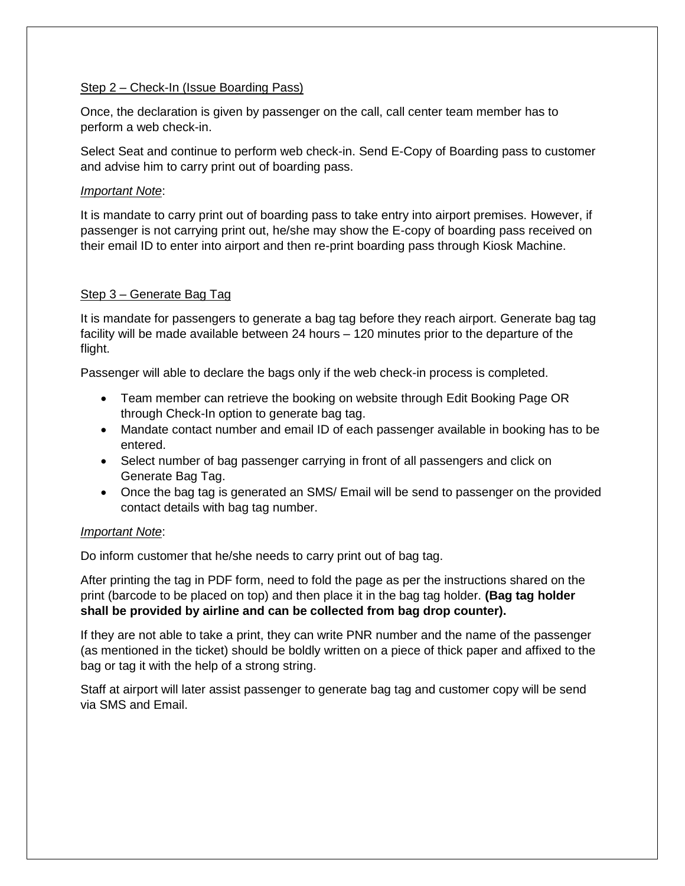## Step 2 – Check-In (Issue Boarding Pass)

Once, the declaration is given by passenger on the call, call center team member has to perform a web check-in.

Select Seat and continue to perform web check-in. Send E-Copy of Boarding pass to customer and advise him to carry print out of boarding pass.

### *Important Note*:

It is mandate to carry print out of boarding pass to take entry into airport premises. However, if passenger is not carrying print out, he/she may show the E-copy of boarding pass received on their email ID to enter into airport and then re-print boarding pass through Kiosk Machine.

# Step 3 – Generate Bag Tag

It is mandate for passengers to generate a bag tag before they reach airport. Generate bag tag facility will be made available between 24 hours – 120 minutes prior to the departure of the flight.

Passenger will able to declare the bags only if the web check-in process is completed.

- Team member can retrieve the booking on website through Edit Booking Page OR through Check-In option to generate bag tag.
- Mandate contact number and email ID of each passenger available in booking has to be entered.
- Select number of bag passenger carrying in front of all passengers and click on Generate Bag Tag.
- Once the bag tag is generated an SMS/ Email will be send to passenger on the provided contact details with bag tag number.

# *Important Note*:

Do inform customer that he/she needs to carry print out of bag tag.

After printing the tag in PDF form, need to fold the page as per the instructions shared on the print (barcode to be placed on top) and then place it in the bag tag holder. **(Bag tag holder shall be provided by airline and can be collected from bag drop counter).**

If they are not able to take a print, they can write PNR number and the name of the passenger (as mentioned in the ticket) should be boldly written on a piece of thick paper and affixed to the bag or tag it with the help of a strong string.

Staff at airport will later assist passenger to generate bag tag and customer copy will be send via SMS and Email.